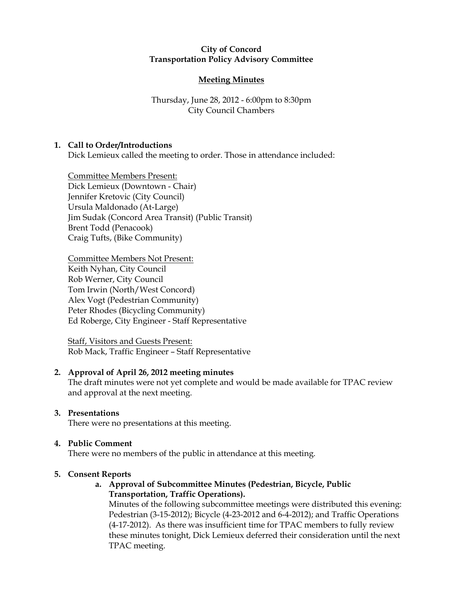## City of Concord Transportation Policy Advisory Committee

# Meeting Minutes

# Thursday, June 28, 2012 - 6:00pm to 8:30pm City Council Chambers

# 1. Call to Order/Introductions

Dick Lemieux called the meeting to order. Those in attendance included:

Committee Members Present: Dick Lemieux (Downtown - Chair) Jennifer Kretovic (City Council) Ursula Maldonado (At-Large) Jim Sudak (Concord Area Transit) (Public Transit) Brent Todd (Penacook) Craig Tufts, (Bike Community)

Committee Members Not Present: Keith Nyhan, City Council Rob Werner, City Council Tom Irwin (North/West Concord) Alex Vogt (Pedestrian Community) Peter Rhodes (Bicycling Community) Ed Roberge, City Engineer - Staff Representative

Staff, Visitors and Guests Present: Rob Mack, Traffic Engineer – Staff Representative

#### 2. Approval of April 26, 2012 meeting minutes

The draft minutes were not yet complete and would be made available for TPAC review and approval at the next meeting.

## 3. Presentations

There were no presentations at this meeting.

## 4. Public Comment

There were no members of the public in attendance at this meeting.

## 5. Consent Reports

## a. Approval of Subcommittee Minutes (Pedestrian, Bicycle, Public Transportation, Traffic Operations).

Minutes of the following subcommittee meetings were distributed this evening: Pedestrian (3-15-2012); Bicycle (4-23-2012 and 6-4-2012); and Traffic Operations (4-17-2012). As there was insufficient time for TPAC members to fully review these minutes tonight, Dick Lemieux deferred their consideration until the next TPAC meeting.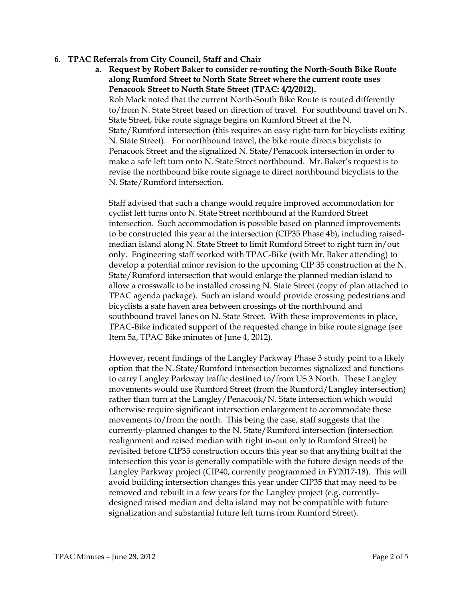### 6. TPAC Referrals from City Council, Staff and Chair

a. Request by Robert Baker to consider re-routing the North-South Bike Route along Rumford Street to North State Street where the current route uses Penacook Street to North State Street (TPAC: 4/2/2012). Rob Mack noted that the current North-South Bike Route is routed differently to/from N. State Street based on direction of travel. For southbound travel on N. State Street, bike route signage begins on Rumford Street at the N. State/Rumford intersection (this requires an easy right-turn for bicyclists exiting N. State Street). For northbound travel, the bike route directs bicyclists to Penacook Street and the signalized N. State/Penacook intersection in order to make a safe left turn onto N. State Street northbound. Mr. Baker's request is to revise the northbound bike route signage to direct northbound bicyclists to the N. State/Rumford intersection.

Staff advised that such a change would require improved accommodation for cyclist left turns onto N. State Street northbound at the Rumford Street intersection. Such accommodation is possible based on planned improvements to be constructed this year at the intersection (CIP35 Phase 4b), including raisedmedian island along N. State Street to limit Rumford Street to right turn in/out only. Engineering staff worked with TPAC-Bike (with Mr. Baker attending) to develop a potential minor revision to the upcoming CIP 35 construction at the N. State/Rumford intersection that would enlarge the planned median island to allow a crosswalk to be installed crossing N. State Street (copy of plan attached to TPAC agenda package). Such an island would provide crossing pedestrians and bicyclists a safe haven area between crossings of the northbound and southbound travel lanes on N. State Street. With these improvements in place, TPAC-Bike indicated support of the requested change in bike route signage (see Item 5a, TPAC Bike minutes of June 4, 2012).

However, recent findings of the Langley Parkway Phase 3 study point to a likely option that the N. State/Rumford intersection becomes signalized and functions to carry Langley Parkway traffic destined to/from US 3 North. These Langley movements would use Rumford Street (from the Rumford/Langley intersection) rather than turn at the Langley/Penacook/N. State intersection which would otherwise require significant intersection enlargement to accommodate these movements to/from the north. This being the case, staff suggests that the currently-planned changes to the N. State/Rumford intersection (intersection realignment and raised median with right in-out only to Rumford Street) be revisited before CIP35 construction occurs this year so that anything built at the intersection this year is generally compatible with the future design needs of the Langley Parkway project (CIP40, currently programmed in FY2017-18). This will avoid building intersection changes this year under CIP35 that may need to be removed and rebuilt in a few years for the Langley project (e.g. currentlydesigned raised median and delta island may not be compatible with future signalization and substantial future left turns from Rumford Street).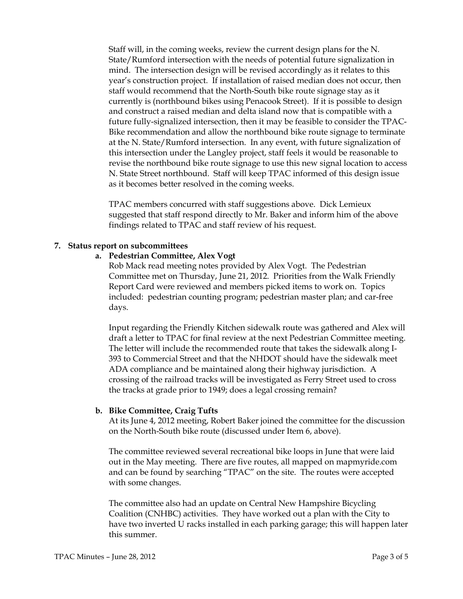Staff will, in the coming weeks, review the current design plans for the N. State/Rumford intersection with the needs of potential future signalization in mind. The intersection design will be revised accordingly as it relates to this year's construction project. If installation of raised median does not occur, then staff would recommend that the North-South bike route signage stay as it currently is (northbound bikes using Penacook Street). If it is possible to design and construct a raised median and delta island now that is compatible with a future fully-signalized intersection, then it may be feasible to consider the TPAC-Bike recommendation and allow the northbound bike route signage to terminate at the N. State/Rumford intersection. In any event, with future signalization of this intersection under the Langley project, staff feels it would be reasonable to revise the northbound bike route signage to use this new signal location to access N. State Street northbound. Staff will keep TPAC informed of this design issue as it becomes better resolved in the coming weeks.

TPAC members concurred with staff suggestions above. Dick Lemieux suggested that staff respond directly to Mr. Baker and inform him of the above findings related to TPAC and staff review of his request.

### 7. Status report on subcommittees

### a. Pedestrian Committee, Alex Vogt

Rob Mack read meeting notes provided by Alex Vogt. The Pedestrian Committee met on Thursday, June 21, 2012. Priorities from the Walk Friendly Report Card were reviewed and members picked items to work on. Topics included: pedestrian counting program; pedestrian master plan; and car-free days.

Input regarding the Friendly Kitchen sidewalk route was gathered and Alex will draft a letter to TPAC for final review at the next Pedestrian Committee meeting. The letter will include the recommended route that takes the sidewalk along I-393 to Commercial Street and that the NHDOT should have the sidewalk meet ADA compliance and be maintained along their highway jurisdiction. A crossing of the railroad tracks will be investigated as Ferry Street used to cross the tracks at grade prior to 1949; does a legal crossing remain?

#### b. Bike Committee, Craig Tufts

At its June 4, 2012 meeting, Robert Baker joined the committee for the discussion on the North-South bike route (discussed under Item 6, above).

The committee reviewed several recreational bike loops in June that were laid out in the May meeting. There are five routes, all mapped on mapmyride.com and can be found by searching "TPAC" on the site. The routes were accepted with some changes.

The committee also had an update on Central New Hampshire Bicycling Coalition (CNHBC) activities. They have worked out a plan with the City to have two inverted U racks installed in each parking garage; this will happen later this summer.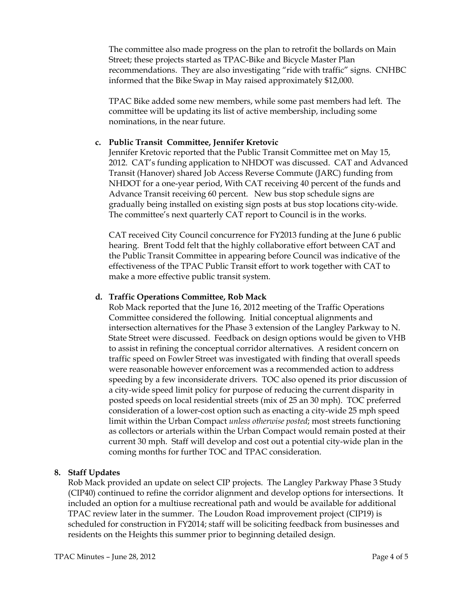The committee also made progress on the plan to retrofit the bollards on Main Street; these projects started as TPAC-Bike and Bicycle Master Plan recommendations. They are also investigating "ride with traffic" signs. CNHBC informed that the Bike Swap in May raised approximately \$12,000.

TPAC Bike added some new members, while some past members had left. The committee will be updating its list of active membership, including some nominations, in the near future.

#### c. Public Transit Committee, Jennifer Kretovic

Jennifer Kretovic reported that the Public Transit Committee met on May 15, 2012. CAT's funding application to NHDOT was discussed. CAT and Advanced Transit (Hanover) shared Job Access Reverse Commute (JARC) funding from NHDOT for a one-year period, With CAT receiving 40 percent of the funds and Advance Transit receiving 60 percent. New bus stop schedule signs are gradually being installed on existing sign posts at bus stop locations city-wide. The committee's next quarterly CAT report to Council is in the works.

CAT received City Council concurrence for FY2013 funding at the June 6 public hearing. Brent Todd felt that the highly collaborative effort between CAT and the Public Transit Committee in appearing before Council was indicative of the effectiveness of the TPAC Public Transit effort to work together with CAT to make a more effective public transit system.

#### d. Traffic Operations Committee, Rob Mack

Rob Mack reported that the June 16, 2012 meeting of the Traffic Operations Committee considered the following. Initial conceptual alignments and intersection alternatives for the Phase 3 extension of the Langley Parkway to N. State Street were discussed. Feedback on design options would be given to VHB to assist in refining the conceptual corridor alternatives. A resident concern on traffic speed on Fowler Street was investigated with finding that overall speeds were reasonable however enforcement was a recommended action to address speeding by a few inconsiderate drivers. TOC also opened its prior discussion of a city-wide speed limit policy for purpose of reducing the current disparity in posted speeds on local residential streets (mix of 25 an 30 mph). TOC preferred consideration of a lower-cost option such as enacting a city-wide 25 mph speed limit within the Urban Compact unless otherwise posted; most streets functioning as collectors or arterials within the Urban Compact would remain posted at their current 30 mph. Staff will develop and cost out a potential city-wide plan in the coming months for further TOC and TPAC consideration.

## 8. Staff Updates

Rob Mack provided an update on select CIP projects. The Langley Parkway Phase 3 Study (CIP40) continued to refine the corridor alignment and develop options for intersections. It included an option for a multiuse recreational path and would be available for additional TPAC review later in the summer. The Loudon Road improvement project (CIP19) is scheduled for construction in FY2014; staff will be soliciting feedback from businesses and residents on the Heights this summer prior to beginning detailed design.